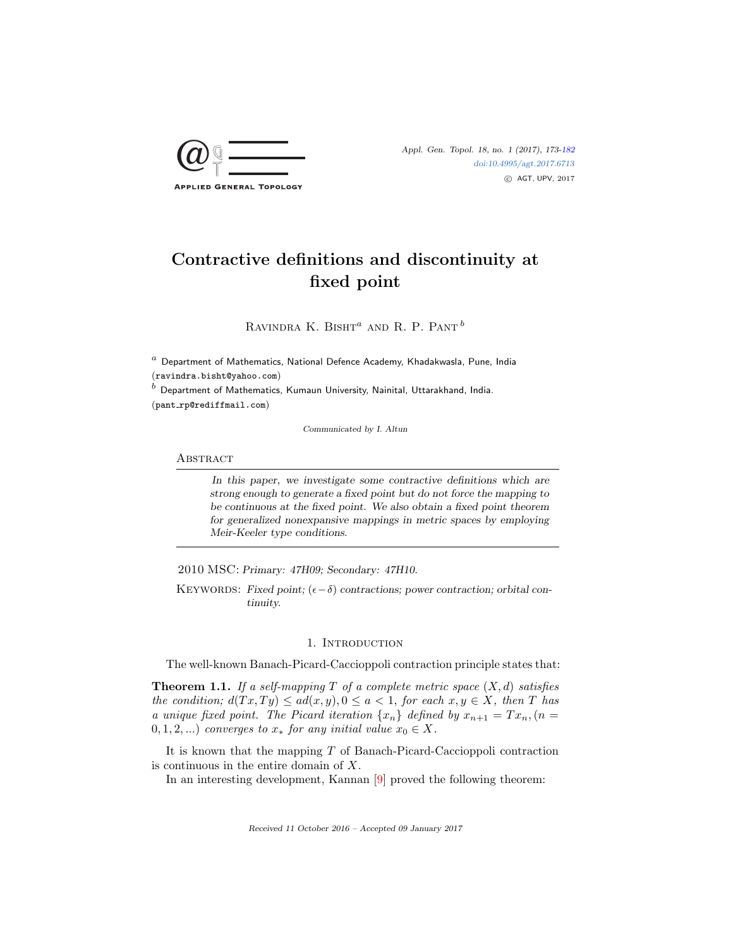

# Contractive definitions and discontinuity at fixed point

RAVINDRA K. BISHT<sup> $a$ </sup> AND R. P. PANT  $^b$ 

 $a$  Department of Mathematics, National Defence Academy, Khadakwasla, Pune, India (ravindra.bisht@yahoo.com)

 $^b$  Department of Mathematics, Kumaun University, Nainital, Uttarakhand, India.  $(pant_rp@rediffmail.com)$ 

Communicated by I. Altun

#### **ABSTRACT**

In this paper, we investigate some contractive definitions which are strong enough to generate a fixed point but do not force the mapping to be continuous at the fixed point. We also obtain a fixed point theorem for generalized nonexpansive mappings in metric spaces by employing Meir-Keeler type conditions.

2010 MSC: Primary: 47H09; Secondary: 47H10.

KEYWORDS: Fixed point;  $(\epsilon - \delta)$  contractions; power contraction; orbital continuity.

### 1. Introduction

The well-known Banach-Picard-Caccioppoli contraction principle states that:

**Theorem 1.1.** If a self-mapping T of a complete metric space  $(X, d)$  satisfies the condition;  $d(Tx,Ty) \leq ad(x,y), 0 \leq a < 1$ , for each  $x, y \in X$ , then T has a unique fixed point. The Picard iteration  $\{x_n\}$  defined by  $x_{n+1} = Tx_n, (n =$  $(0, 1, 2, ...)$  converges to  $x_*$  for any initial value  $x_0 \in X$ .

It is known that the mapping  $T$  of Banach-Picard-Caccioppoli contraction is continuous in the entire domain of X.

In an interesting development, Kannan [\[9\]](#page-8-1) proved the following theorem:

Received 11 October 2016 – Accepted 09 January 2017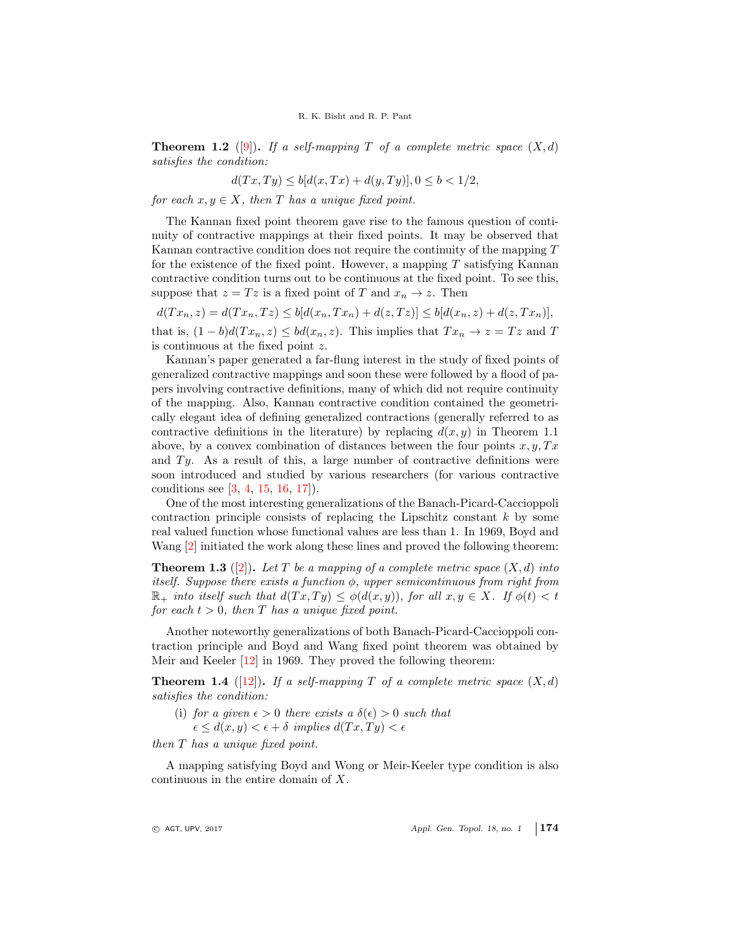**Theorem 1.2** ([\[9\]](#page-8-1)). If a self-mapping T of a complete metric space  $(X, d)$ satisfies the condition:

$$
d(Tx, Ty) \le b[d(x, Tx) + d(y, Ty)], 0 \le b < 1/2,
$$

for each  $x, y \in X$ , then T has a unique fixed point.

The Kannan fixed point theorem gave rise to the famous question of continuity of contractive mappings at their fixed points. It may be observed that Kannan contractive condition does not require the continuity of the mapping T for the existence of the fixed point. However, a mapping  $T$  satisfying Kannan contractive condition turns out to be continuous at the fixed point. To see this, suppose that  $z = Tz$  is a fixed point of T and  $x_n \to z$ . Then

 $d(T x_n, z) = d(T x_n, T z) \leq b[d(x_n, T x_n) + d(z, T z)] \leq b[d(x_n, z) + d(z, T x_n)],$ that is,  $(1 - b)d(Tx_n, z) \le bd(x_n, z)$ . This implies that  $Tx_n \to z = Tz$  and T is continuous at the fixed point z.

Kannan's paper generated a far-flung interest in the study of fixed points of generalized contractive mappings and soon these were followed by a flood of papers involving contractive definitions, many of which did not require continuity of the mapping. Also, Kannan contractive condition contained the geometrically elegant idea of defining generalized contractions (generally referred to as contractive definitions in the literature) by replacing  $d(x, y)$  in Theorem 1.1 above, by a convex combination of distances between the four points  $x, y, Tx$ and  $Ty$ . As a result of this, a large number of contractive definitions were soon introduced and studied by various researchers (for various contractive conditions see [\[3,](#page-8-2) [4,](#page-8-3) [15,](#page-9-0) [16,](#page-9-1) [17\]](#page-9-2)).

One of the most interesting generalizations of the Banach-Picard-Caccioppoli contraction principle consists of replacing the Lipschitz constant  $k$  by some real valued function whose functional values are less than 1. In 1969, Boyd and Wang [\[2\]](#page-8-4) initiated the work along these lines and proved the following theorem:

**Theorem 1.3** ([\[2\]](#page-8-4)). Let T be a mapping of a complete metric space  $(X, d)$  into itself. Suppose there exists a function  $\phi$ , upper semicontinuous from right from  $\mathbb{R}_+$  into itself such that  $d(Tx,Ty) \leq \phi(d(x,y))$ , for all  $x,y \in X$ . If  $\phi(t) < t$ for each  $t > 0$ , then T has a unique fixed point.

Another noteworthy generalizations of both Banach-Picard-Caccioppoli contraction principle and Boyd and Wang fixed point theorem was obtained by Meir and Keeler [\[12\]](#page-9-3) in 1969. They proved the following theorem:

**Theorem 1.4** ([\[12\]](#page-9-3)). If a self-mapping T of a complete metric space  $(X, d)$ satisfies the condition:

(i) for a given  $\epsilon > 0$  there exists a  $\delta(\epsilon) > 0$  such that

 $\epsilon \leq d(x, y) \leq \epsilon + \delta$  implies  $d(Tx, Ty) \leq \epsilon$ 

then T has a unique fixed point.

A mapping satisfying Boyd and Wong or Meir-Keeler type condition is also continuous in the entire domain of X.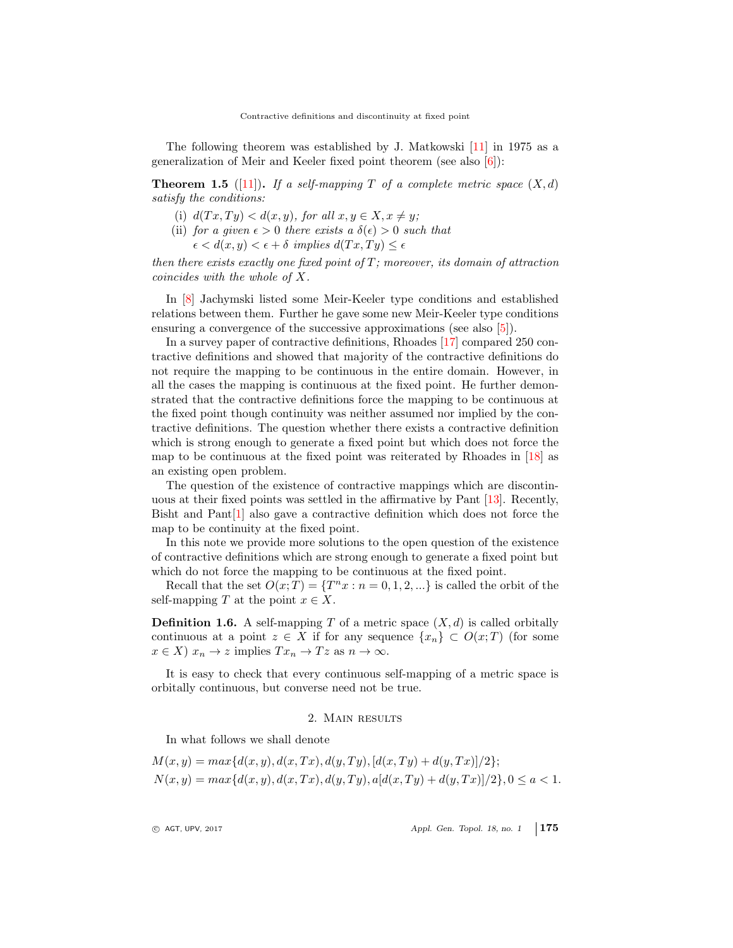The following theorem was established by J. Matkowski  $[11]$  in 1975 as a generalization of Meir and Keeler fixed point theorem (see also [\[6\]](#page-8-5)):

**Theorem 1.5** ([\[11\]](#page-9-4)). If a self-mapping T of a complete metric space  $(X, d)$ satisfy the conditions:

- (i)  $d(Tx,Ty) < d(x,y)$ , for all  $x, y \in X, x \neq y$ ;
- (ii) for a given  $\epsilon > 0$  there exists a  $\delta(\epsilon) > 0$  such that
	- $\epsilon < d(x, y) < \epsilon + \delta$  implies  $d(Tx, Ty) \leq \epsilon$

then there exists exactly one fixed point of  $T$ ; moreover, its domain of attraction coincides with the whole of X.

In [\[8\]](#page-8-6) Jachymski listed some Meir-Keeler type conditions and established relations between them. Further he gave some new Meir-Keeler type conditions ensuring a convergence of the successive approximations (see also [\[5\]](#page-8-7)).

In a survey paper of contractive definitions, Rhoades [\[17\]](#page-9-2) compared 250 contractive definitions and showed that majority of the contractive definitions do not require the mapping to be continuous in the entire domain. However, in all the cases the mapping is continuous at the fixed point. He further demonstrated that the contractive definitions force the mapping to be continuous at the fixed point though continuity was neither assumed nor implied by the contractive definitions. The question whether there exists a contractive definition which is strong enough to generate a fixed point but which does not force the map to be continuous at the fixed point was reiterated by Rhoades in [\[18\]](#page-9-5) as an existing open problem.

The question of the existence of contractive mappings which are discontinuous at their fixed points was settled in the affirmative by Pant [\[13\]](#page-9-6). Recently, Bisht and Pant[\[1\]](#page-8-8) also gave a contractive definition which does not force the map to be continuity at the fixed point.

In this note we provide more solutions to the open question of the existence of contractive definitions which are strong enough to generate a fixed point but which do not force the mapping to be continuous at the fixed point.

Recall that the set  $O(x; T) = \{T^n x : n = 0, 1, 2, ...\}$  is called the orbit of the self-mapping T at the point  $x \in X$ .

**Definition 1.6.** A self-mapping T of a metric space  $(X, d)$  is called orbitally continuous at a point  $z \in X$  if for any sequence  $\{x_n\} \subset O(x;T)$  (for some  $x \in X$ )  $x_n \to z$  implies  $Tx_n \to Tz$  as  $n \to \infty$ .

It is easy to check that every continuous self-mapping of a metric space is orbitally continuous, but converse need not be true.

### 2. Main results

In what follows we shall denote

$$
M(x, y) = max{d(x, y), d(x, Tx), d(y, Ty), [d(x, Ty) + d(y, Tx)]/2};
$$
  
\n
$$
N(x, y) = max{d(x, y), d(x, Tx), d(y, Ty), a[d(x, Ty) + d(y, Tx)]/2}, 0 \le a < 1.
$$

 $\circ$  AGT, UPV, 2017  $\circ$  Appl. Gen. Topol. 18, no. 1 175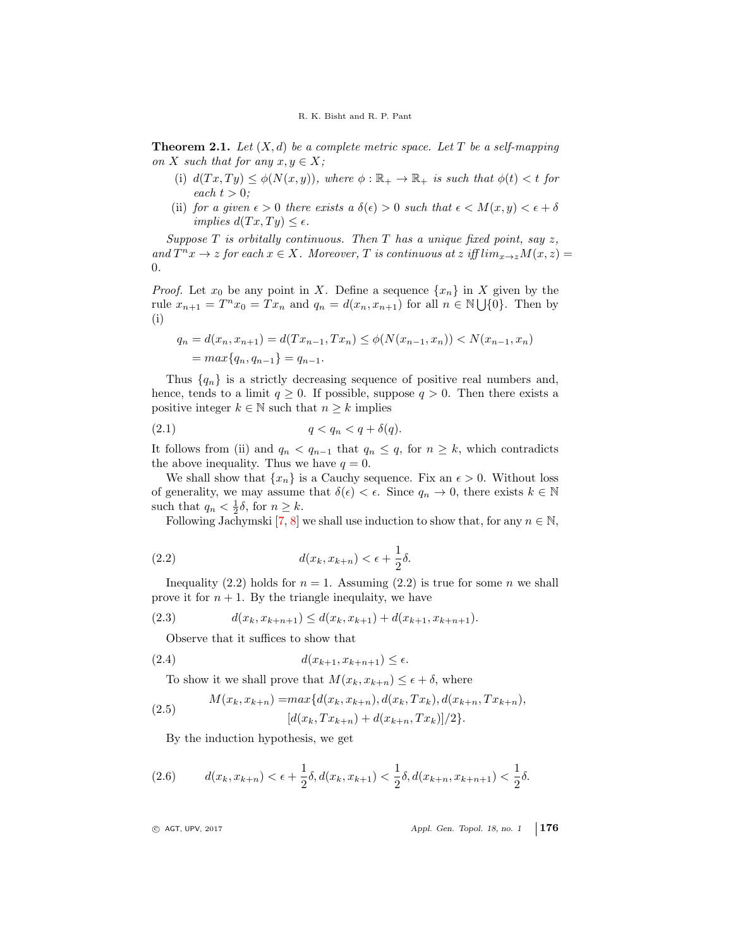**Theorem 2.1.** Let  $(X, d)$  be a complete metric space. Let T be a self-mapping on X such that for any  $x, y \in X$ ;

- (i)  $d(Tx,Ty) \leq \phi(N(x,y))$ , where  $\phi : \mathbb{R}_+ \to \mathbb{R}_+$  is such that  $\phi(t) < t$  for each  $t > 0$ :
- (ii) for a given  $\epsilon > 0$  there exists a  $\delta(\epsilon) > 0$  such that  $\epsilon < M(x, y) < \epsilon + \delta$ implies  $d(Tx, Ty) \leq \epsilon$ .

Suppose  $T$  is orbitally continuous. Then  $T$  has a unique fixed point, say  $z$ , and  $T^n x \to z$  for each  $x \in X$ . Moreover, T is continuous at z iff  $\lim_{x \to z} M(x, z) =$ 0.

*Proof.* Let  $x_0$  be any point in X. Define a sequence  $\{x_n\}$  in X given by the rule  $x_{n+1} = T^n x_0 = Tx_n$  and  $q_n = d(x_n, x_{n+1})$  for all  $n \in \mathbb{N} \cup \{0\}$ . Then by (i)

$$
q_n = d(x_n, x_{n+1}) = d(Tx_{n-1}, Tx_n) \le \phi(N(x_{n-1}, x_n)) < N(x_{n-1}, x_n)
$$
  
= 
$$
max\{q_n, q_{n-1}\} = q_{n-1}.
$$

Thus  $\{q_n\}$  is a strictly decreasing sequence of positive real numbers and, hence, tends to a limit  $q \geq 0$ . If possible, suppose  $q > 0$ . Then there exists a positive integer  $k \in \mathbb{N}$  such that  $n \geq k$  implies

$$
(2.1) \t\t q < q_n < q + \delta(q).
$$

It follows from (ii) and  $q_n < q_{n-1}$  that  $q_n \leq q$ , for  $n \geq k$ , which contradicts the above inequality. Thus we have  $q = 0$ .

We shall show that  $\{x_n\}$  is a Cauchy sequence. Fix an  $\epsilon > 0$ . Without loss of generality, we may assume that  $\delta(\epsilon) < \epsilon$ . Since  $q_n \to 0$ , there exists  $k \in \mathbb{N}$ such that  $q_n < \frac{1}{2}\delta$ , for  $n \geq k$ .

Following Jachymski [\[7,](#page-8-9) [8\]](#page-8-6) we shall use induction to show that, for any  $n \in \mathbb{N}$ ,

(2.2) 
$$
d(x_k, x_{k+n}) < \epsilon + \frac{1}{2}\delta.
$$

Inequality (2.2) holds for  $n = 1$ . Assuming (2.2) is true for some n we shall prove it for  $n + 1$ . By the triangle inequlaity, we have

$$
(2.3) \t d(x_k, x_{k+n+1}) \leq d(x_k, x_{k+1}) + d(x_{k+1}, x_{k+n+1}).
$$

Observe that it suffices to show that

$$
(2.4) \t d(x_{k+1}, x_{k+n+1}) \le \epsilon.
$$

To show it we shall prove that  $M(x_k, x_{k+n}) \leq \epsilon + \delta$ , where

(2.5) 
$$
M(x_k, x_{k+n}) = \max\{d(x_k, x_{k+n}), d(x_k, Tx_k), d(x_{k+n}, Tx_{k+n}), (d(x_k, Tx_{k+n}) + d(x_{k+n}, Tx_k)]/2\}.
$$

By the induction hypothesis, we get

(2.6) 
$$
d(x_k, x_{k+n}) < \epsilon + \frac{1}{2}\delta, d(x_k, x_{k+1}) < \frac{1}{2}\delta, d(x_{k+n}, x_{k+n+1}) < \frac{1}{2}\delta.
$$

 $\circ$  AGT, UPV, 2017  $\circ$  Appl. Gen. Topol. 18, no. 1 176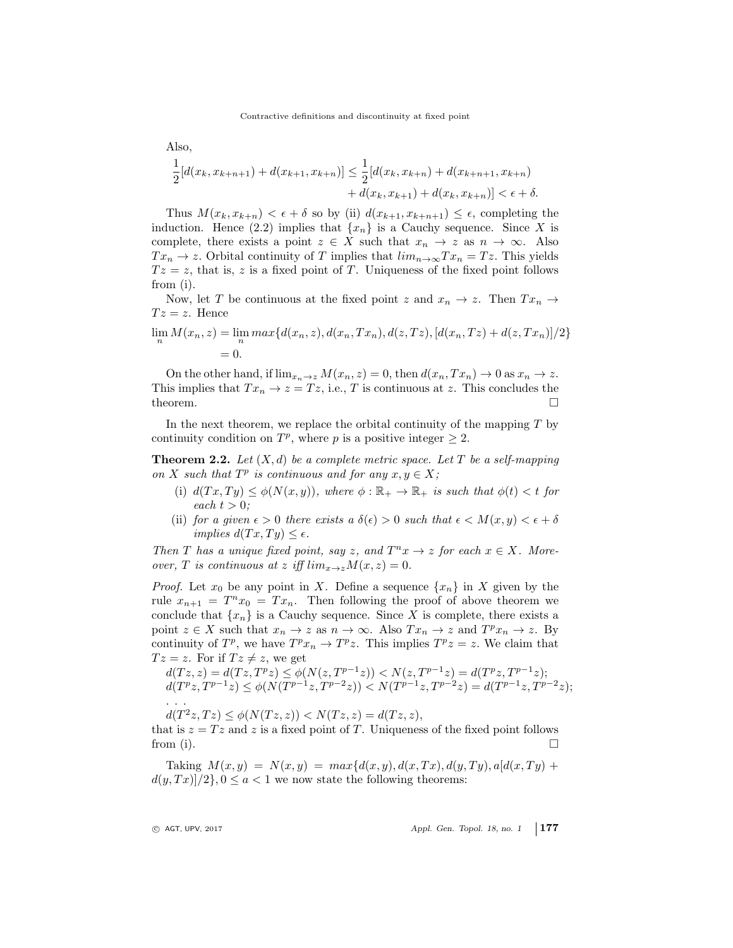Also,  
\n
$$
\frac{1}{2}[d(x_k, x_{k+n+1}) + d(x_{k+1}, x_{k+n})] \le \frac{1}{2}[d(x_k, x_{k+n}) + d(x_{k+n+1}, x_{k+n}) + d(x_k, x_{k+n})] < \epsilon + \delta.
$$

Thus  $M(x_k, x_{k+n}) < \epsilon + \delta$  so by (ii)  $d(x_{k+1}, x_{k+n+1}) \leq \epsilon$ , completing the induction. Hence (2.2) implies that  $\{x_n\}$  is a Cauchy sequence. Since X is complete, there exists a point  $z \in X$  such that  $x_n \to z$  as  $n \to \infty$ . Also  $Tx_n \to z$ . Orbital continuity of T implies that  $\lim_{n\to\infty} Tx_n = Tz$ . This yields  $Tz = z$ , that is, z is a fixed point of T. Uniqueness of the fixed point follows from (i).

Now, let T be continuous at the fixed point z and  $x_n \to z$ . Then  $Tx_n \to z$  $Tz = z$ . Hence

$$
\lim_{n} M(x_n, z) = \lim_{n} \max \{d(x_n, z), d(x_n, Tx_n), d(z, Tz), [d(x_n, Tz) + d(z, Tx_n)]/2\}
$$
  
= 0.

On the other hand, if  $\lim_{x_n\to z} M(x_n, z) = 0$ , then  $d(x_n, Tx_n) \to 0$  as  $x_n \to z$ . This implies that  $Tx_n \to z = Tz$ , i.e., T is continuous at z. This concludes the theorem.  $\Box$ 

In the next theorem, we replace the orbital continuity of the mapping  $T$  by continuity condition on  $T^p$ , where p is a positive integer  $\geq 2$ .

**Theorem 2.2.** Let  $(X, d)$  be a complete metric space. Let T be a self-mapping on X such that  $T^p$  is continuous and for any  $x, y \in X$ ;

- (i)  $d(Tx,Ty) \leq \phi(N(x,y))$ , where  $\phi : \mathbb{R}_+ \to \mathbb{R}_+$  is such that  $\phi(t) < t$  for each  $t > 0$ ;
- (ii) for a given  $\epsilon > 0$  there exists a  $\delta(\epsilon) > 0$  such that  $\epsilon < M(x, y) < \epsilon + \delta$ implies  $d(Tx,Ty) \leq \epsilon$ .

Then T has a unique fixed point, say z, and  $T^n x \to z$  for each  $x \in X$ . Moreover, T is continuous at z iff  $\lim_{x\to z} M(x,z) = 0$ .

*Proof.* Let  $x_0$  be any point in X. Define a sequence  $\{x_n\}$  in X given by the rule  $x_{n+1} = T^n x_0 = Tx_n$ . Then following the proof of above theorem we conclude that  $\{x_n\}$  is a Cauchy sequence. Since X is complete, there exists a point  $z \in X$  such that  $x_n \to z$  as  $n \to \infty$ . Also  $Tx_n \to z$  and  $T^p x_n \to z$ . By continuity of  $T^p$ , we have  $T^p x_n \to T^p z$ . This implies  $T^p z = z$ . We claim that  $Tz = z$ . For if  $Tz \neq z$ , we get

$$
d(Tz, z) = d(Tz, Tpz) \le \phi(N(z, Tp-1z)) < N(z, Tp-1z) = d(Tpz, Tp-1z);
$$
  
\n
$$
d(Tpz, Tp-1z) \le \phi(N(Tp-1z, Tp-2z)) < N(Tp-1z, Tp-2z) = d(Tp-1z, Tp-2z);
$$
  
\n...

 $d(T^2z, Tz) \le \phi(N(Tz, z)) < N(Tz, z) = d(Tz, z),$ 

that is  $z = Tz$  and z is a fixed point of T. Uniqueness of the fixed point follows from (i).  $\Box$ 

Taking  $M(x, y) = N(x, y) = max{d(x, y), d(x, Tx), d(y, Ty), a[d(x, Ty) + y]}$  $d(y, Tx)/2$ ,  $0 \le a < 1$  we now state the following theorems:

 $\circ$  AGT, UPV, 2017  $\circ$  Appl. Gen. Topol. 18, no. 1 177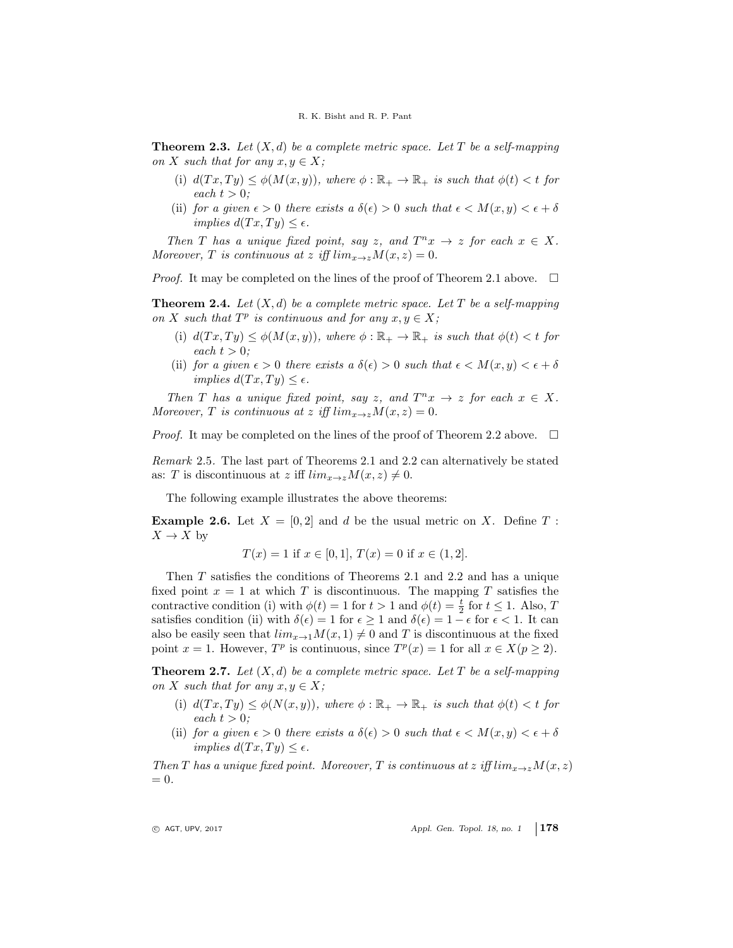**Theorem 2.3.** Let  $(X, d)$  be a complete metric space. Let T be a self-mapping on X such that for any  $x, y \in X$ ;

- (i)  $d(Tx,Ty) \leq \phi(M(x,y))$ , where  $\phi : \mathbb{R}_+ \to \mathbb{R}_+$  is such that  $\phi(t) < t$  for each  $t > 0$ ;
- (ii) for a given  $\epsilon > 0$  there exists a  $\delta(\epsilon) > 0$  such that  $\epsilon < M(x, y) < \epsilon + \delta$ implies  $d(Tx,Ty) \leq \epsilon$ .

Then T has a unique fixed point, say z, and  $T^n x \to z$  for each  $x \in X$ . Moreover, T is continuous at z iff  $\lim_{x\to z} M(x, z) = 0$ .

*Proof.* It may be completed on the lines of the proof of Theorem 2.1 above.  $\Box$ 

**Theorem 2.4.** Let  $(X, d)$  be a complete metric space. Let T be a self-mapping on X such that  $T^p$  is continuous and for any  $x, y \in X$ ;

- (i)  $d(Tx,Ty) \leq \phi(M(x,y))$ , where  $\phi : \mathbb{R}_+ \to \mathbb{R}_+$  is such that  $\phi(t) < t$  for each  $t > 0$ ;
- (ii) for a given  $\epsilon > 0$  there exists a  $\delta(\epsilon) > 0$  such that  $\epsilon < M(x, y) < \epsilon + \delta$ implies  $d(Tx,Ty) \leq \epsilon$ .

Then T has a unique fixed point, say z, and  $T^n x \to z$  for each  $x \in X$ . Moreover, T is continuous at z iff  $\lim_{x\to z} M(x, z) = 0$ .

*Proof.* It may be completed on the lines of the proof of Theorem 2.2 above.  $\Box$ 

Remark 2.5. The last part of Theorems 2.1 and 2.2 can alternatively be stated as: T is discontinuous at z iff  $\lim_{x\to z} M(x, z) \neq 0$ .

The following example illustrates the above theorems:

**Example 2.6.** Let  $X = [0, 2]$  and d be the usual metric on X. Define T:  $X \to X$  by

$$
T(x) = 1
$$
 if  $x \in [0, 1]$ ,  $T(x) = 0$  if  $x \in (1, 2]$ .

Then T satisfies the conditions of Theorems 2.1 and 2.2 and has a unique fixed point  $x = 1$  at which T is discontinuous. The mapping T satisfies the contractive condition (i) with  $\phi(t) = 1$  for  $t > 1$  and  $\phi(t) = \frac{t}{2}$  for  $t \le 1$ . Also, T satisfies condition (ii) with  $\delta(\epsilon) = 1$  for  $\epsilon \geq 1$  and  $\delta(\epsilon) = 1 - \epsilon$  for  $\epsilon < 1$ . It can also be easily seen that  $\lim_{x\to 1} M(x, 1) \neq 0$  and T is discontinuous at the fixed point  $x = 1$ . However,  $T^p$  is continuous, since  $T^p(x) = 1$  for all  $x \in X(p \ge 2)$ .

**Theorem 2.7.** Let  $(X, d)$  be a complete metric space. Let T be a self-mapping on X such that for any  $x, y \in X$ ;

- (i)  $d(Tx,Ty) \leq \phi(N(x,y))$ , where  $\phi : \mathbb{R}_+ \to \mathbb{R}_+$  is such that  $\phi(t) < t$  for each  $t > 0$ ;
- (ii) for a given  $\epsilon > 0$  there exists a  $\delta(\epsilon) > 0$  such that  $\epsilon < M(x, y) < \epsilon + \delta$ implies  $d(Tx,Ty) \leq \epsilon$ .

Then T has a unique fixed point. Moreover, T is continuous at z iff  $\lim_{x\to z} M(x, z)$  $= 0.$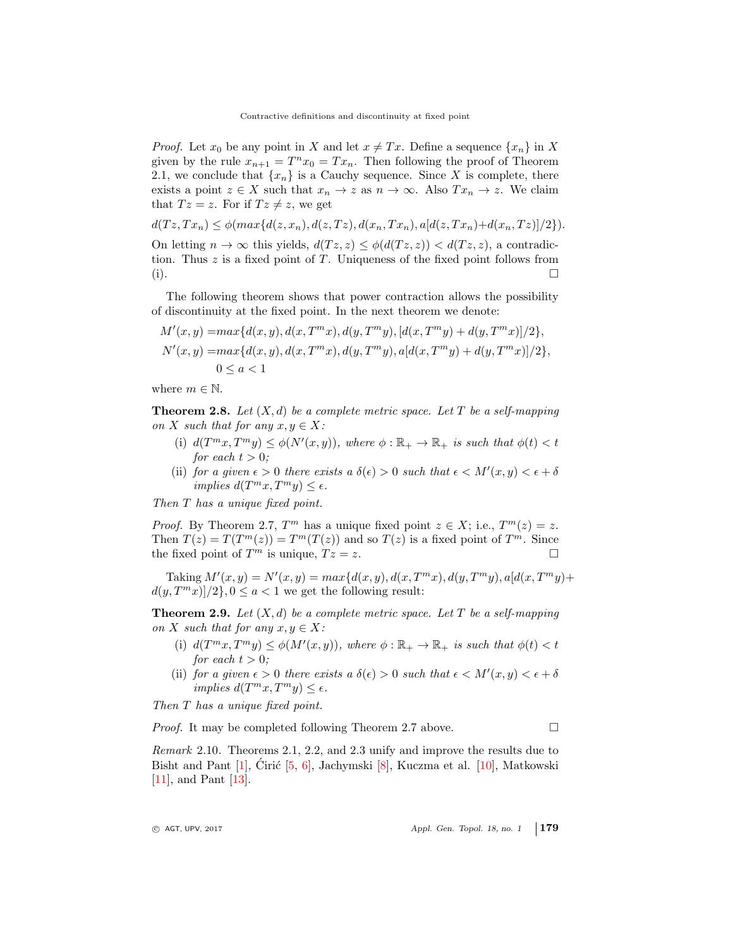*Proof.* Let  $x_0$  be any point in X and let  $x \neq Tx$ . Define a sequence  $\{x_n\}$  in X given by the rule  $x_{n+1} = T^n x_0 = Tx_n$ . Then following the proof of Theorem 2.1, we conclude that  $\{x_n\}$  is a Cauchy sequence. Since X is complete, there exists a point  $z \in X$  such that  $x_n \to z$  as  $n \to \infty$ . Also  $Tx_n \to z$ . We claim that  $Tz = z$ . For if  $Tz \neq z$ , we get

 $d(Tz, Tx_n) \leq \phi(max\{d(z, x_n), d(z, Tz), d(x_n, Tx_n), a[d(z, Tx_n)+d(x_n, Tz)]/2\}).$ 

On letting  $n \to \infty$  this yields,  $d(Tz, z) \leq \phi(d(Tz, z)) \leq d(Tz, z)$ , a contradiction. Thus  $z$  is a fixed point of  $T$ . Uniqueness of the fixed point follows from (i).

The following theorem shows that power contraction allows the possibility of discontinuity at the fixed point. In the next theorem we denote:

$$
M'(x, y) = \max\{d(x, y), d(x, T^m x), d(y, T^m y), [d(x, T^m y) + d(y, T^m x)]/2\},
$$
  
\n
$$
N'(x, y) = \max\{d(x, y), d(x, T^m x), d(y, T^m y), a[d(x, T^m y) + d(y, T^m x)]/2\},
$$
  
\n
$$
0 \le a < 1
$$

where  $m \in \mathbb{N}$ .

**Theorem 2.8.** Let  $(X, d)$  be a complete metric space. Let T be a self-mapping on X such that for any  $x, y \in X$ :

- (i)  $d(T^m x, T^m y) \leq \phi(N'(x, y)),$  where  $\phi : \mathbb{R}_+ \to \mathbb{R}_+$  is such that  $\phi(t) < t$ for each  $t > 0$ :
- (ii) for a given  $\epsilon > 0$  there exists a  $\delta(\epsilon) > 0$  such that  $\epsilon < M'(x, y) < \epsilon + \delta$  $implies d(T^m x, T^m y) \leq \epsilon.$

Then T has a unique fixed point.

*Proof.* By Theorem 2.7,  $T^m$  has a unique fixed point  $z \in X$ ; i.e.,  $T^m(z) = z$ . Then  $T(z) = T(T^m(z)) = T^m(T(z))$  and so  $T(z)$  is a fixed point of  $T^m$ . Since the fixed point of  $T^m$  is unique,  $Tz = z$ .

Taking  $M'(x, y) = N'(x, y) = max{d(x, y), d(x, T^m x), d(y, T^m y), a[d(x, T^m y) +$  $d(y, T^m x)/2$ ,  $0 \le a < 1$  we get the following result:

**Theorem 2.9.** Let  $(X, d)$  be a complete metric space. Let T be a self-mapping on X such that for any  $x, y \in X$ :

- (i)  $d(T^m x, T^m y) \leq \phi(M'(x, y))$ , where  $\phi : \mathbb{R}_+ \to \mathbb{R}_+$  is such that  $\phi(t) < t$ for each  $t > 0$ ;
- (ii) for a given  $\epsilon > 0$  there exists a  $\delta(\epsilon) > 0$  such that  $\epsilon < M'(x, y) < \epsilon + \delta$ implies  $d(T^m x, T^m y) \leq \epsilon$ .

Then T has a unique fixed point.

*Proof.* It may be completed following Theorem 2.7 above.  $\Box$ 

Remark 2.10. Theorems 2.1, 2.2, and 2.3 unify and improve the results due to Bisht and Pant  $[1]$ , Cirić  $[5, 6]$  $[5, 6]$  $[5, 6]$  $[5, 6]$ , Jachymski  $[8]$ , Kuczma et al.  $[10]$ , Matkowski [\[11\]](#page-9-4), and Pant [\[13\]](#page-9-6).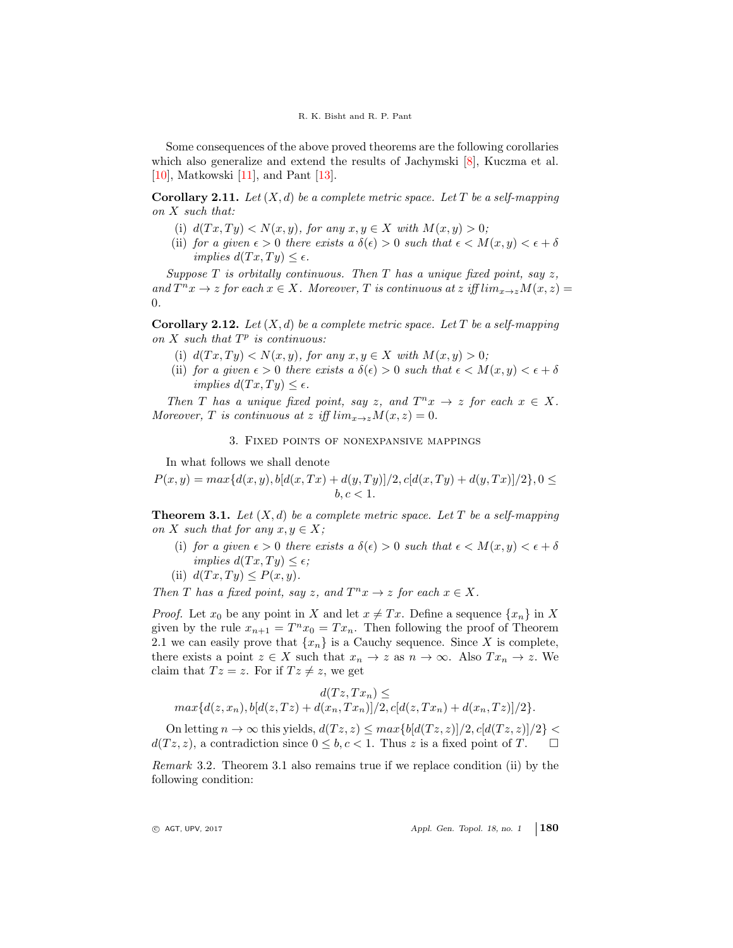Some consequences of the above proved theorems are the following corollaries which also generalize and extend the results of Jachymski [\[8\]](#page-8-6), Kuczma et al. [\[10\]](#page-8-10), Matkowski [\[11\]](#page-9-4), and Pant [\[13\]](#page-9-6).

**Corollary 2.11.** Let  $(X, d)$  be a complete metric space. Let T be a self-mapping on X such that:

- (i)  $d(Tx,Ty) < N(x,y)$ , for any  $x,y \in X$  with  $M(x,y) > 0$ ;
- (ii) for a given  $\epsilon > 0$  there exists a  $\delta(\epsilon) > 0$  such that  $\epsilon < M(x, y) < \epsilon + \delta$ implies  $d(Tx, Ty) \leq \epsilon$ .

Suppose T is orbitally continuous. Then T has a unique fixed point, say  $z$ , and  $T^n x \to z$  for each  $x \in X$ . Moreover, T is continuous at z iff  $\lim_{x \to z} M(x, z) =$ 0.

**Corollary 2.12.** Let  $(X, d)$  be a complete metric space. Let T be a self-mapping on  $X$  such that  $T^p$  is continuous:

- (i)  $d(Tx,Ty) < N(x,y)$ , for any  $x,y \in X$  with  $M(x,y) > 0$ ;
- (ii) for a given  $\epsilon > 0$  there exists a  $\delta(\epsilon) > 0$  such that  $\epsilon < M(x, y) < \epsilon + \delta$ implies  $d(Tx, Tu) \leq \epsilon$ .

Then T has a unique fixed point, say z, and  $T^n x \to z$  for each  $x \in X$ . Moreover, T is continuous at z iff  $\lim_{x\to z} M(x, z) = 0$ .

## 3. Fixed points of nonexpansive mappings

In what follows we shall denote

 $P(x, y) = max{d(x, y), b[d(x, Tx) + d(y, Ty)]/2, c[d(x, Ty) + d(y, Tx)]/2}, 0 \le$  $b, c < 1$ .

**Theorem 3.1.** Let  $(X, d)$  be a complete metric space. Let T be a self-mapping on X such that for any  $x, y \in X$ ;

- (i) for a given  $\epsilon > 0$  there exists a  $\delta(\epsilon) > 0$  such that  $\epsilon < M(x, y) < \epsilon + \delta$ implies  $d(Tx, Ty) \leq \epsilon$ ;
- (ii)  $d(Tx,Ty) \leq P(x,y)$ .

Then T has a fixed point, say z, and  $T^n x \to z$  for each  $x \in X$ .

*Proof.* Let  $x_0$  be any point in X and let  $x \neq Tx$ . Define a sequence  $\{x_n\}$  in X given by the rule  $x_{n+1} = T^n x_0 = Tx_n$ . Then following the proof of Theorem 2.1 we can easily prove that  $\{x_n\}$  is a Cauchy sequence. Since X is complete, there exists a point  $z \in X$  such that  $x_n \to z$  as  $n \to \infty$ . Also  $Tx_n \to z$ . We claim that  $Tz = z$ . For if  $Tz \neq z$ , we get

$$
d(Tz, Tx_n) \le
$$
  

$$
max\{d(z, x_n), b[d(z, Tz) + d(x_n, Tx_n)]/2, c[d(z, Tx_n) + d(x_n, Tz)]/2\}.
$$

On letting  $n \to \infty$  this yields,  $d(Tz, z) \leq max\{b[d(Tz, z)]/2, c[d(Tz, z)]/2\}$  $d(Tz, z)$ , a contradiction since  $0 \leq b, c < 1$ . Thus z is a fixed point of T.

Remark 3.2. Theorem 3.1 also remains true if we replace condition (ii) by the following condition: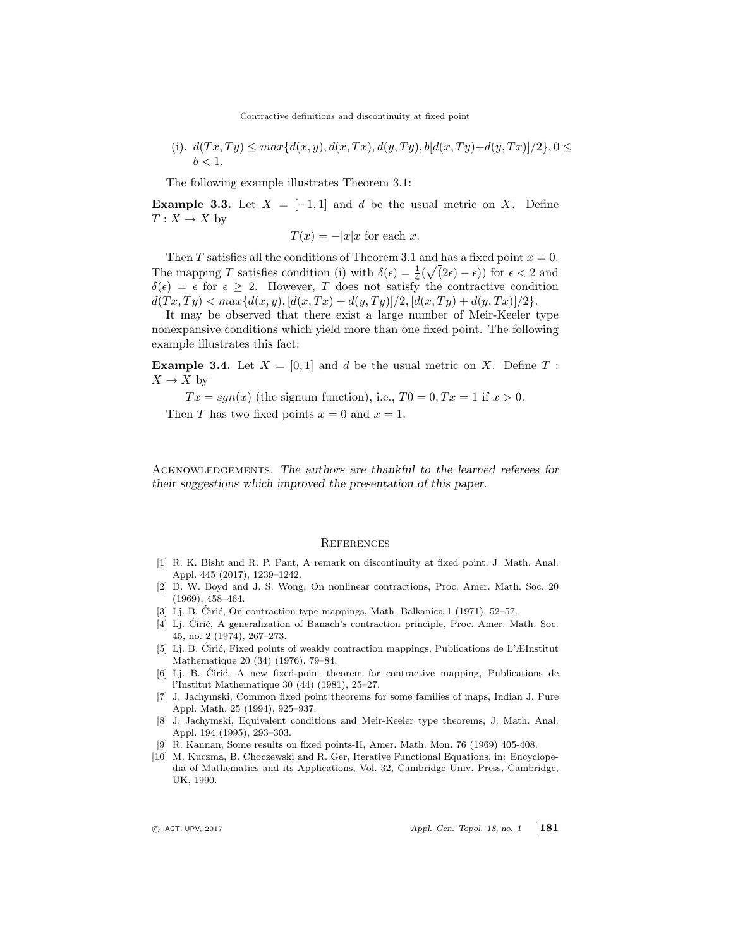(i).  $d(Tx,Ty) \leq max\{d(x,y), d(x,Tx), d(y,Ty), b[d(x,Ty)+d(y,Tx)]/2\}, 0 \leq$  $b < 1$ .

The following example illustrates Theorem 3.1:

**Example 3.3.** Let  $X = [-1, 1]$  and d be the usual metric on X. Define  $T: X \to X$  by

$$
T(x) = -|x|x \text{ for each } x.
$$

Then T satisfies all the conditions of Theorem 3.1 and has a fixed point  $x = 0$ . The mapping T satisfies condition (i) with  $\delta(\epsilon) = \frac{1}{4}(\sqrt{2\epsilon} - \epsilon)$  for  $\epsilon < 2$  and  $\delta(\epsilon) = \epsilon$  for  $\epsilon \geq 2$ . However, T does not satisfy the contractive condition  $d(Tx,Ty) < max{d(x,y), [d(x,Tx) + d(y,Ty)]/2, [d(x,Ty) + d(y,Tx)]/2}.$ 

It may be observed that there exist a large number of Meir-Keeler type nonexpansive conditions which yield more than one fixed point. The following example illustrates this fact:

**Example 3.4.** Let  $X = \begin{bmatrix} 0 & 1 \end{bmatrix}$  and d be the usual metric on X. Define T:  $X \to X$  by

 $Tx = \text{sgn}(x)$  (the signum function), i.e.,  $T0 = 0, Tx = 1$  if  $x > 0$ . Then T has two fixed points  $x = 0$  and  $x = 1$ .

Acknowledgements. The authors are thankful to the learned referees for their suggestions which improved the presentation of this paper.

#### <span id="page-8-0"></span>**REFERENCES**

- <span id="page-8-8"></span>[1] R. K. Bisht and R. P. Pant, A remark on discontinuity at fixed point, J. Math. Anal. Appl. 445 (2017), 1239–1242.
- <span id="page-8-4"></span>[2] D. W. Boyd and J. S. Wong, On nonlinear contractions, Proc. Amer. Math. Soc. 20 (1969), 458–464.
- <span id="page-8-2"></span>[3] Lj. B. Cirić, On contraction type mappings, Math. Balkanica 1 (1971),  $52-57$ .
- <span id="page-8-3"></span>[4] Lj. Ćirić, A generalization of Banach's contraction principle, Proc. Amer. Math. Soc. 45, no. 2 (1974), 267–273.
- <span id="page-8-7"></span>[5] Li. B. Ćirić, Fixed points of weakly contraction mappings, Publications de L'ÆInstitut Mathematique 20 (34) (1976), 79–84.
- <span id="page-8-5"></span>[6] Lj. B. Ciric, A new fixed-point theorem for contractive mapping, Publications de l'Institut Mathematique 30 (44) (1981), 25–27.
- <span id="page-8-9"></span>[7] J. Jachymski, Common fixed point theorems for some families of maps, Indian J. Pure Appl. Math. 25 (1994), 925–937.
- <span id="page-8-6"></span>[8] J. Jachymski, Equivalent conditions and Meir-Keeler type theorems, J. Math. Anal. Appl. 194 (1995), 293–303.
- <span id="page-8-1"></span>[9] R. Kannan, Some results on fixed points-II, Amer. Math. Mon. 76 (1969) 405-408.
- <span id="page-8-10"></span>[10] M. Kuczma, B. Choczewski and R. Ger, Iterative Functional Equations, in: Encyclopedia of Mathematics and its Applications, Vol. 32, Cambridge Univ. Press, Cambridge, UK, 1990.